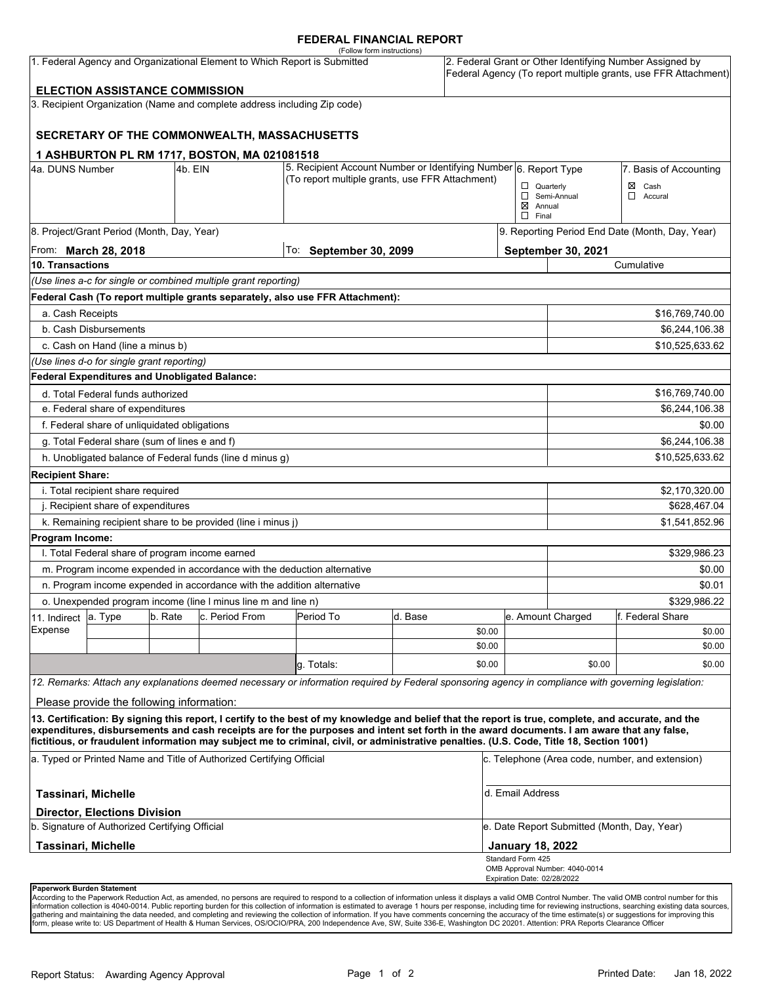#### **FEDERAL FINANCIAL REPORT**

| (Follow form instructions)<br>1. Federal Agency and Organizational Element to Which Report is Submitted                                                                                                           |                                               |         |                                                                          |                                                                                                                                                                                                                                                                                                    |         |        | 2. Federal Grant or Other Identifying Number Assigned by<br>Federal Agency (To report multiple grants, use FFR Attachment) |                                                                     |                  |  |
|-------------------------------------------------------------------------------------------------------------------------------------------------------------------------------------------------------------------|-----------------------------------------------|---------|--------------------------------------------------------------------------|----------------------------------------------------------------------------------------------------------------------------------------------------------------------------------------------------------------------------------------------------------------------------------------------------|---------|--------|----------------------------------------------------------------------------------------------------------------------------|---------------------------------------------------------------------|------------------|--|
|                                                                                                                                                                                                                   | <b>ELECTION ASSISTANCE COMMISSION</b>         |         |                                                                          |                                                                                                                                                                                                                                                                                                    |         |        |                                                                                                                            |                                                                     |                  |  |
|                                                                                                                                                                                                                   |                                               |         | 3. Recipient Organization (Name and complete address including Zip code) |                                                                                                                                                                                                                                                                                                    |         |        |                                                                                                                            |                                                                     |                  |  |
|                                                                                                                                                                                                                   |                                               |         |                                                                          |                                                                                                                                                                                                                                                                                                    |         |        |                                                                                                                            |                                                                     |                  |  |
|                                                                                                                                                                                                                   |                                               |         | SECRETARY OF THE COMMONWEALTH, MASSACHUSETTS                             |                                                                                                                                                                                                                                                                                                    |         |        |                                                                                                                            |                                                                     |                  |  |
|                                                                                                                                                                                                                   |                                               |         | 1 ASHBURTON PL RM 1717, BOSTON, MA 021081518                             |                                                                                                                                                                                                                                                                                                    |         |        |                                                                                                                            |                                                                     |                  |  |
| 4a. DUNS Number<br>4b. EIN                                                                                                                                                                                        |                                               |         |                                                                          | 5. Recipient Account Number or Identifying Number 6. Report Type                                                                                                                                                                                                                                   |         |        | 7. Basis of Accounting                                                                                                     |                                                                     |                  |  |
|                                                                                                                                                                                                                   |                                               |         |                                                                          | (To report multiple grants, use FFR Attachment)                                                                                                                                                                                                                                                    |         |        | $\Box$ Quarterly                                                                                                           |                                                                     | $\boxtimes$ Cash |  |
|                                                                                                                                                                                                                   |                                               |         |                                                                          |                                                                                                                                                                                                                                                                                                    |         |        |                                                                                                                            | Semi-Annual<br>$\Box$ Accural<br>$\boxtimes$ Annual<br>$\Box$ Final |                  |  |
|                                                                                                                                                                                                                   | 8. Project/Grant Period (Month, Day, Year)    |         |                                                                          |                                                                                                                                                                                                                                                                                                    |         |        |                                                                                                                            | 9. Reporting Period End Date (Month, Day, Year)                     |                  |  |
| From: <b>March 28, 2018</b>                                                                                                                                                                                       |                                               |         |                                                                          | To: September 30, 2099                                                                                                                                                                                                                                                                             |         |        | September 30, 2021                                                                                                         |                                                                     |                  |  |
| 10. Transactions                                                                                                                                                                                                  |                                               |         |                                                                          |                                                                                                                                                                                                                                                                                                    |         |        |                                                                                                                            | Cumulative                                                          |                  |  |
|                                                                                                                                                                                                                   |                                               |         | (Use lines a-c for single or combined multiple grant reporting)          |                                                                                                                                                                                                                                                                                                    |         |        |                                                                                                                            |                                                                     |                  |  |
|                                                                                                                                                                                                                   |                                               |         |                                                                          | Federal Cash (To report multiple grants separately, also use FFR Attachment):                                                                                                                                                                                                                      |         |        |                                                                                                                            |                                                                     |                  |  |
| a. Cash Receipts                                                                                                                                                                                                  |                                               |         |                                                                          |                                                                                                                                                                                                                                                                                                    |         |        |                                                                                                                            |                                                                     | \$16,769,740.00  |  |
|                                                                                                                                                                                                                   | b. Cash Disbursements                         |         |                                                                          |                                                                                                                                                                                                                                                                                                    |         |        |                                                                                                                            | \$6,244,106.38                                                      |                  |  |
|                                                                                                                                                                                                                   | c. Cash on Hand (line a minus b)              |         |                                                                          |                                                                                                                                                                                                                                                                                                    |         |        |                                                                                                                            |                                                                     | \$10,525,633.62  |  |
|                                                                                                                                                                                                                   | (Use lines d-o for single grant reporting)    |         |                                                                          |                                                                                                                                                                                                                                                                                                    |         |        |                                                                                                                            |                                                                     |                  |  |
|                                                                                                                                                                                                                   | Federal Expenditures and Unobligated Balance: |         |                                                                          |                                                                                                                                                                                                                                                                                                    |         |        |                                                                                                                            |                                                                     |                  |  |
| d. Total Federal funds authorized                                                                                                                                                                                 |                                               |         |                                                                          |                                                                                                                                                                                                                                                                                                    |         |        |                                                                                                                            | \$16,769,740.00                                                     |                  |  |
| e. Federal share of expenditures                                                                                                                                                                                  |                                               |         |                                                                          |                                                                                                                                                                                                                                                                                                    |         |        |                                                                                                                            | \$6,244,106.38                                                      |                  |  |
| f. Federal share of unliquidated obligations                                                                                                                                                                      |                                               |         |                                                                          |                                                                                                                                                                                                                                                                                                    |         |        |                                                                                                                            | \$0.00                                                              |                  |  |
| g. Total Federal share (sum of lines e and f)                                                                                                                                                                     |                                               |         |                                                                          |                                                                                                                                                                                                                                                                                                    |         |        |                                                                                                                            | \$6,244,106.38                                                      |                  |  |
|                                                                                                                                                                                                                   |                                               |         | h. Unobligated balance of Federal funds (line d minus g)                 |                                                                                                                                                                                                                                                                                                    |         |        |                                                                                                                            |                                                                     | \$10,525,633.62  |  |
| <b>Recipient Share:</b>                                                                                                                                                                                           |                                               |         |                                                                          |                                                                                                                                                                                                                                                                                                    |         |        |                                                                                                                            |                                                                     |                  |  |
| i. Total recipient share required                                                                                                                                                                                 |                                               |         |                                                                          |                                                                                                                                                                                                                                                                                                    |         |        |                                                                                                                            |                                                                     | \$2,170,320.00   |  |
| j. Recipient share of expenditures                                                                                                                                                                                |                                               |         |                                                                          |                                                                                                                                                                                                                                                                                                    |         |        |                                                                                                                            | \$628,467.04                                                        |                  |  |
| k. Remaining recipient share to be provided (line i minus j)                                                                                                                                                      |                                               |         |                                                                          |                                                                                                                                                                                                                                                                                                    |         |        |                                                                                                                            |                                                                     | \$1,541,852.96   |  |
| Program Income:                                                                                                                                                                                                   |                                               |         |                                                                          |                                                                                                                                                                                                                                                                                                    |         |        |                                                                                                                            |                                                                     |                  |  |
| I. Total Federal share of program income earned                                                                                                                                                                   |                                               |         |                                                                          |                                                                                                                                                                                                                                                                                                    |         |        |                                                                                                                            | \$329,986.23                                                        |                  |  |
| m. Program income expended in accordance with the deduction alternative                                                                                                                                           |                                               |         |                                                                          |                                                                                                                                                                                                                                                                                                    |         |        |                                                                                                                            | \$0.00                                                              |                  |  |
| n. Program income expended in accordance with the addition alternative                                                                                                                                            |                                               |         |                                                                          |                                                                                                                                                                                                                                                                                                    |         |        |                                                                                                                            | \$0.01                                                              |                  |  |
| o. Unexpended program income (line I minus line m and line n)                                                                                                                                                     |                                               |         |                                                                          |                                                                                                                                                                                                                                                                                                    |         |        |                                                                                                                            | \$329,986.22                                                        |                  |  |
| 11. Indirect                                                                                                                                                                                                      | a. Type                                       | b. Rate | c. Period From                                                           | Period To                                                                                                                                                                                                                                                                                          | d. Base |        |                                                                                                                            | e. Amount Charged                                                   | f. Federal Share |  |
| Expense                                                                                                                                                                                                           |                                               |         |                                                                          |                                                                                                                                                                                                                                                                                                    |         | \$0.00 |                                                                                                                            |                                                                     | \$0.00           |  |
|                                                                                                                                                                                                                   |                                               |         |                                                                          |                                                                                                                                                                                                                                                                                                    |         | \$0.00 |                                                                                                                            |                                                                     | \$0.00           |  |
|                                                                                                                                                                                                                   |                                               |         |                                                                          | g. Totals:                                                                                                                                                                                                                                                                                         |         | \$0.00 |                                                                                                                            | \$0.00                                                              | \$0.00           |  |
|                                                                                                                                                                                                                   |                                               |         |                                                                          | 12. Remarks: Attach any explanations deemed necessary or information required by Federal sponsoring agency in compliance with governing legislation:                                                                                                                                               |         |        |                                                                                                                            |                                                                     |                  |  |
|                                                                                                                                                                                                                   | Please provide the following information:     |         |                                                                          |                                                                                                                                                                                                                                                                                                    |         |        |                                                                                                                            |                                                                     |                  |  |
|                                                                                                                                                                                                                   |                                               |         |                                                                          | 13. Certification: By signing this report, I certify to the best of my knowledge and belief that the report is true, complete, and accurate, and the<br>expenditures, disbursements and cash receipts are for the purposes and intent set forth in the award documents. I am aware that any false, |         |        |                                                                                                                            |                                                                     |                  |  |
| fictitious, or fraudulent information may subject me to criminal, civil, or administrative penalties. (U.S. Code, Title 18, Section 1001)<br>a. Typed or Printed Name and Title of Authorized Certifying Official |                                               |         |                                                                          |                                                                                                                                                                                                                                                                                                    |         |        | c. Telephone (Area code, number, and extension)                                                                            |                                                                     |                  |  |
| Tassinari, Michelle                                                                                                                                                                                               |                                               |         |                                                                          |                                                                                                                                                                                                                                                                                                    |         |        |                                                                                                                            | d. Email Address                                                    |                  |  |
|                                                                                                                                                                                                                   | <b>Director, Elections Division</b>           |         |                                                                          |                                                                                                                                                                                                                                                                                                    |         |        |                                                                                                                            |                                                                     |                  |  |
| b. Signature of Authorized Certifying Official                                                                                                                                                                    |                                               |         |                                                                          |                                                                                                                                                                                                                                                                                                    |         |        |                                                                                                                            | e. Date Report Submitted (Month, Day, Year)                         |                  |  |
| <b>Tassinari, Michelle</b>                                                                                                                                                                                        |                                               |         |                                                                          |                                                                                                                                                                                                                                                                                                    |         |        |                                                                                                                            | <b>January 18, 2022</b>                                             |                  |  |
|                                                                                                                                                                                                                   |                                               |         |                                                                          |                                                                                                                                                                                                                                                                                                    |         |        | Standard Form 425<br>Expiration Date: 02/28/2022                                                                           | OMB Approval Number: 4040-0014                                      |                  |  |
| Paperwork Burden Statement                                                                                                                                                                                        |                                               |         |                                                                          |                                                                                                                                                                                                                                                                                                    |         |        |                                                                                                                            |                                                                     |                  |  |

According to the Paperwork Reduction Act, as amended, no persons are required to respond to a collection of information unless it displays a valid OMB Control Number. The valid OMB control number for this<br>information colle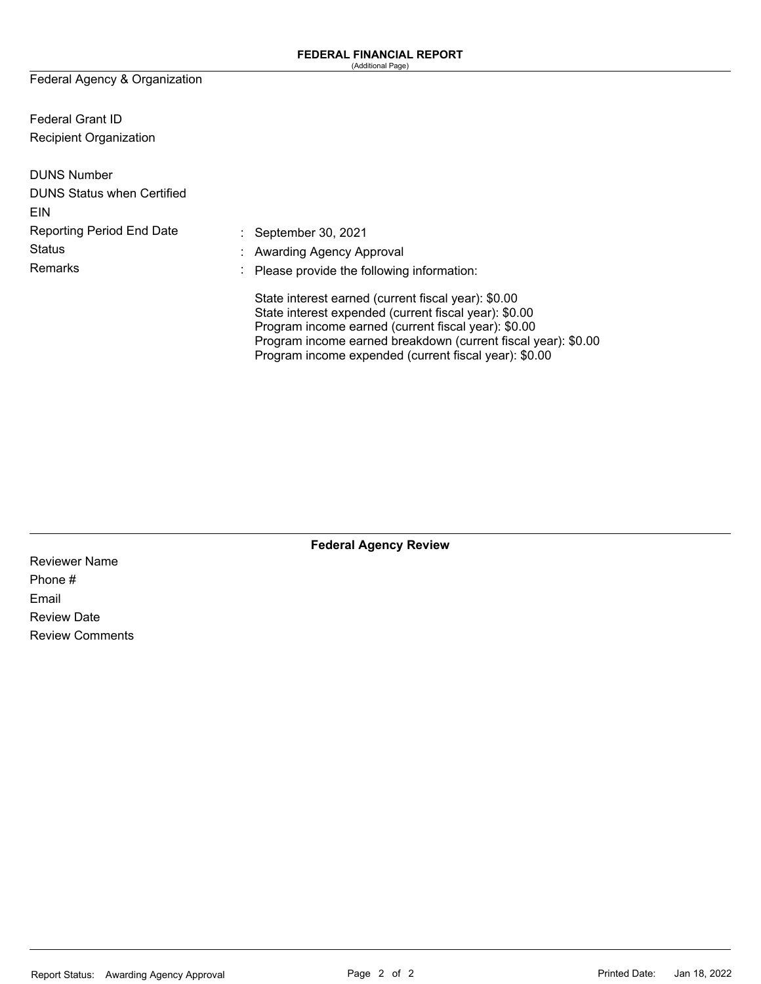Federal Agency & Organization

Federal Grant ID Recipient Organization

| <b>DUNS Number</b>                |                                                                                                                                                                                                                                                                                               |
|-----------------------------------|-----------------------------------------------------------------------------------------------------------------------------------------------------------------------------------------------------------------------------------------------------------------------------------------------|
| <b>DUNS Status when Certified</b> |                                                                                                                                                                                                                                                                                               |
| EIN                               |                                                                                                                                                                                                                                                                                               |
| <b>Reporting Period End Date</b>  | : September 30, 2021                                                                                                                                                                                                                                                                          |
| <b>Status</b>                     | : Awarding Agency Approval                                                                                                                                                                                                                                                                    |
| Remarks                           | $\therefore$ Please provide the following information:                                                                                                                                                                                                                                        |
|                                   | State interest earned (current fiscal year): \$0.00<br>State interest expended (current fiscal year): \$0.00<br>Program income earned (current fiscal year): \$0.00<br>Program income earned breakdown (current fiscal year): \$0.00<br>Program income expended (current fiscal year): \$0.00 |

**Federal Agency Review** 

Reviewer Name Phone # Email Review Date Review Comments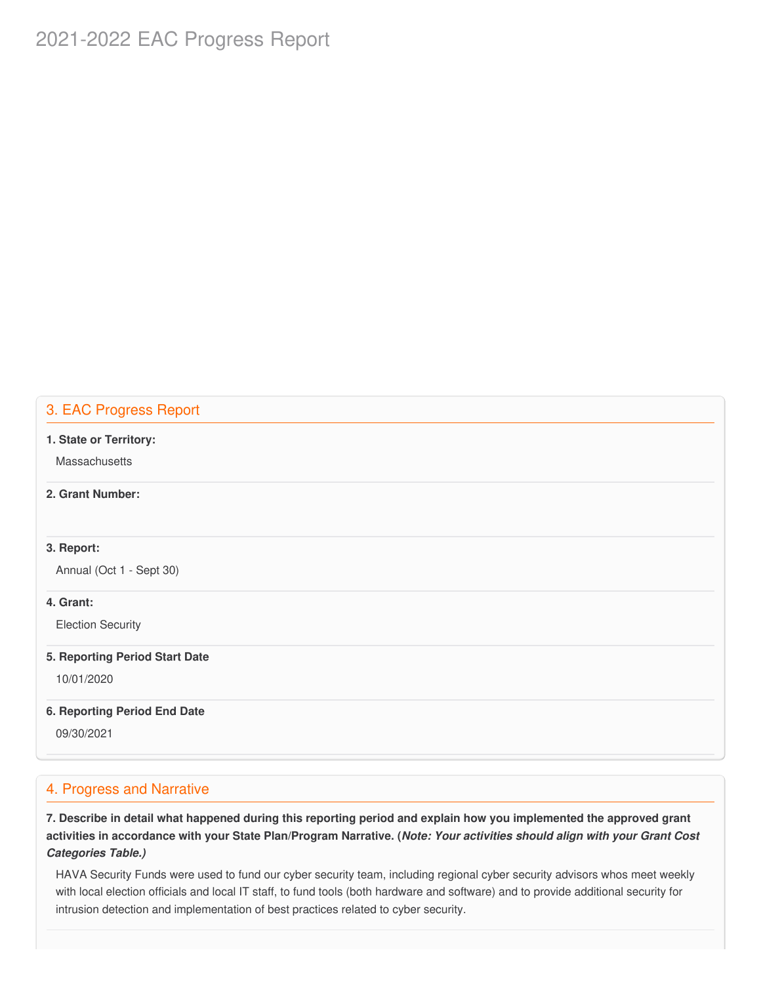# 2021-2022 EAC Progress Report

## 3. EAC Progress Report

#### **1. State or Territory:**

**Massachusetts** 

## **2. Grant Number:**

## **3. Report:**

Annual (Oct 1 - Sept 30)

## **4. Grant:**

Election Security

#### **5. Reporting Period Start Date**

10/01/2020

## **6. Reporting Period End Date**

09/30/2021

# 4. Progress and Narrative

7. Describe in detail what happened during this reporting period and explain how you implemented the approved grant activities in accordance with your State Plan/Program Narrative. (*Note: Your activities should align with your Grant Cost Categories Table.)*

 HAVA Security Funds were used to fund our cyber security team, including regional cyber security advisors whos meet weekly with local election officials and local IT staff, to fund tools (both hardware and software) and to provide additional security for intrusion detection and implementation of best practices related to cyber security.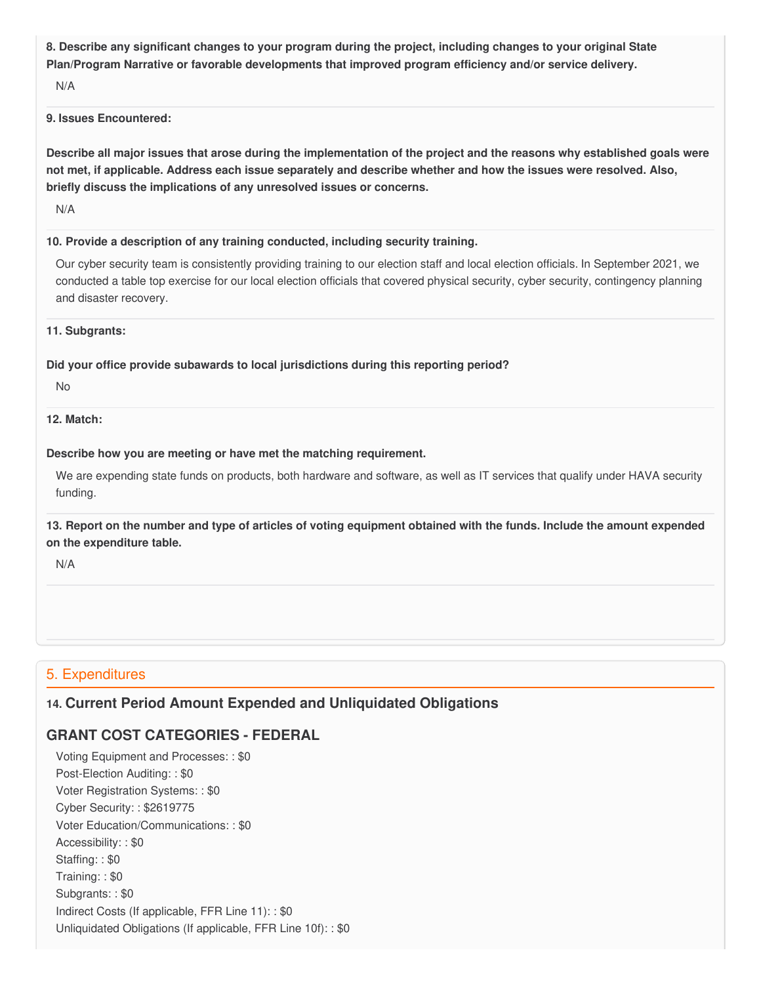8. Describe any significant changes to your program during the project, including changes to your original State  **Plan/Program Narrative or favorable developments that improved program efficiency and/or service delivery.**

N/A

### **9. Issues Encountered:**

Describe all major issues that arose during the implementation of the project and the reasons why established goals were not met, if applicable. Address each issue separately and describe whether and how the issues were resolved. Also,  **briefly discuss the implications of any unresolved issues or concerns.**

N/A

### **10. Provide a description of any training conducted, including security training.**

 Our cyber security team is consistently providing training to our election staff and local election officials. In September 2021, we conducted a table top exercise for our local election officials that covered physical security, cyber security, contingency planning and disaster recovery.

#### **11. Subgrants:**

## **Did your office provide subawards to local jurisdictions during this reporting period?**

No

## **12. Match:**

## **Describe how you are meeting or have met the matching requirement.**

 We are expending state funds on products, both hardware and software, as well as IT services that qualify under HAVA security funding.

13. Report on the number and type of articles of voting equipment obtained with the funds. Include the amount expended  **on the expenditure table.**

N/A

# 5. Expenditures

# **14. Current Period Amount Expended and Unliquidated Obligations**

# **GRANT COST CATEGORIES - FEDERAL**

 Voting Equipment and Processes: : \$0 Post-Election Auditing: : \$0 Voter Registration Systems: : \$0 Cyber Security: : \$2619775 Voter Education/Communications: : \$0 Accessibility: : \$0 Staffing: : \$0 Training: : \$0 Subgrants: : \$0 Indirect Costs (If applicable, FFR Line 11): : \$0 Unliquidated Obligations (If applicable, FFR Line 10f): : \$0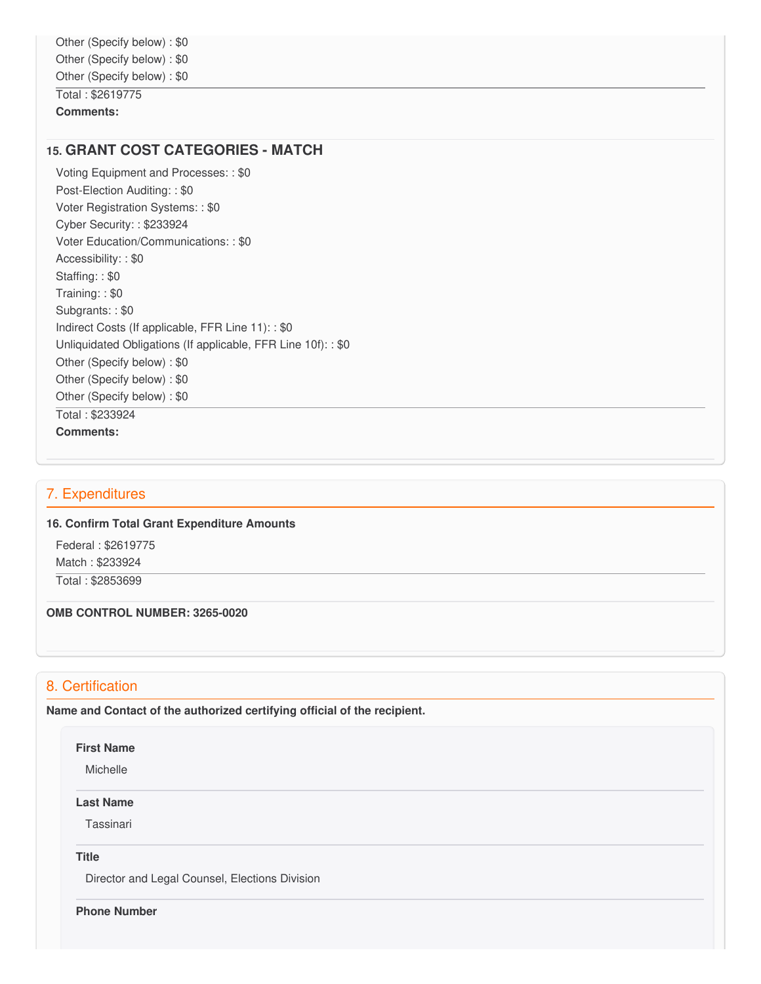**Comments:**

## **15. GRANT COST CATEGORIES - MATCH**

 Voting Equipment and Processes: : \$0 Post-Election Auditing: : \$0 Voter Registration Systems: : \$0 Cyber Security: : \$233924 Voter Education/Communications: : \$0 Accessibility: : \$0 Staffing: : \$0 Training: : \$0 Subgrants: : \$0 Indirect Costs (If applicable, FFR Line 11): : \$0 Unliquidated Obligations (If applicable, FFR Line 10f): : \$0 Other (Specify below) : \$0 Other (Specify below) : \$0 Other (Specify below) : \$0 Total : \$233924 **Comments:**

## 7. Expenditures

#### **16. Confirm Total Grant Expenditure Amounts**

 Federal : \$2619775 Match : \$233924

Total : \$2853699

#### **OMB CONTROL NUMBER: 3265-0020**

# 8. Certification

 **Name and Contact of the authorized certifying official of the recipient.**

#### **First Name**

Michelle

#### **Last Name**

Tassinari

**Title**

Director and Legal Counsel, Elections Division

**Phone Number**